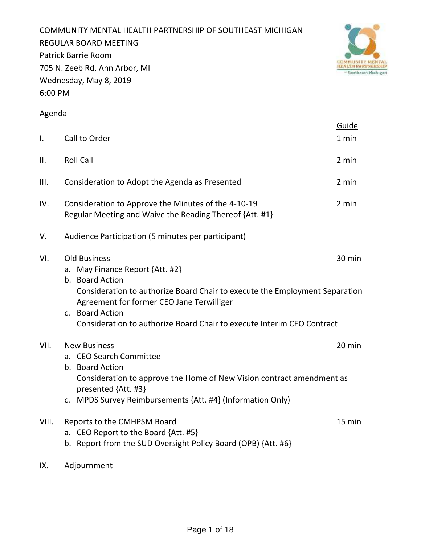COMMUNITY MENTAL HEALTH PARTNERSHIP OF SOUTHEAST MICHIGAN REGULAR BOARD MEETING Patrick Barrie Room 705 N. Zeeb Rd, Ann Arbor, MI Wednesday, May 8, 2019 6:00 PM



# Agenda

|                |                                                                                                                                                                                                                                                                                                    | Guide  |
|----------------|----------------------------------------------------------------------------------------------------------------------------------------------------------------------------------------------------------------------------------------------------------------------------------------------------|--------|
| $\mathbf{I}$ . | Call to Order                                                                                                                                                                                                                                                                                      | 1 min  |
| ΙΙ.            | <b>Roll Call</b>                                                                                                                                                                                                                                                                                   | 2 min  |
| III.           | Consideration to Adopt the Agenda as Presented                                                                                                                                                                                                                                                     | 2 min  |
| IV.            | Consideration to Approve the Minutes of the 4-10-19<br>Regular Meeting and Waive the Reading Thereof {Att. #1}                                                                                                                                                                                     | 2 min  |
| V.             | Audience Participation (5 minutes per participant)                                                                                                                                                                                                                                                 |        |
| VI.            | <b>Old Business</b><br>a. May Finance Report {Att. #2}<br>b. Board Action<br>Consideration to authorize Board Chair to execute the Employment Separation<br>Agreement for former CEO Jane Terwilliger<br>c. Board Action<br>Consideration to authorize Board Chair to execute Interim CEO Contract | 30 min |
| VII.           | <b>New Business</b><br>a. CEO Search Committee<br>b. Board Action<br>Consideration to approve the Home of New Vision contract amendment as<br>presented {Att. #3}<br>c. MPDS Survey Reimbursements {Att. #4} (Information Only)                                                                    | 20 min |
| VIII.          | Reports to the CMHPSM Board<br>a. CEO Report to the Board {Att. #5}<br>b. Report from the SUD Oversight Policy Board (OPB) {Att. #6}                                                                                                                                                               | 15 min |

IX. Adjournment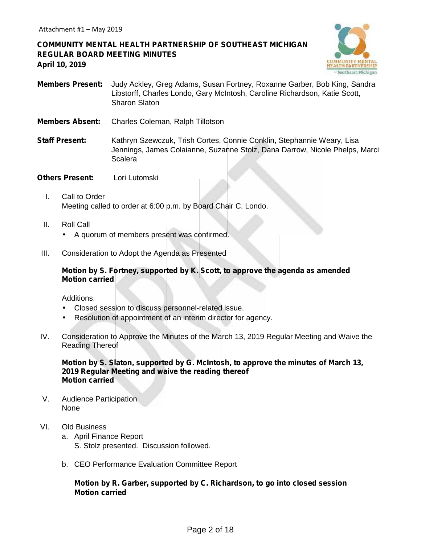**COMMUNITY MENTAL HEALTH PARTNERSHIP OF SOUTHEAST MICHIGAN REGULAR BOARD MEETING MINUTES April 10, 2019**



- **Members Present:** Judy Ackley, Greg Adams, Susan Fortney, Roxanne Garber, Bob King, Sandra Libstorff, Charles Londo, Gary McIntosh, Caroline Richardson, Katie Scott, Sharon Slaton
- **Members Absent:** Charles Coleman, Ralph Tillotson
- **Staff Present:** Kathryn Szewczuk, Trish Cortes, Connie Conklin, Stephannie Weary, Lisa Jennings, James Colaianne, Suzanne Stolz, Dana Darrow, Nicole Phelps, Marci Scalera
- **Others Present:** Lori Lutomski
	- I. Call to Order Meeting called to order at 6:00 p.m. by Board Chair C. Londo.
	- II. Roll Call A quorum of members present was confirmed.
- III. Consideration to Adopt the Agenda as Presented

# **Motion by S. Fortney, supported by K. Scott, to approve the agenda as amended Motion carried**

Additions:

- Closed session to discuss personnel-related issue.
- Resolution of appointment of an interim director for agency.
- IV. Consideration to Approve the Minutes of the March 13, 2019 Regular Meeting and Waive the Reading Thereof

**Motion by S. Slaton, supported by G. McIntosh, to approve the minutes of March 13, 2019 Regular Meeting and waive the reading thereof Motion carried**

- V. Audience Participation None
- VI. Old Business
	- a. April Finance Report S. Stolz presented. Discussion followed.
	- b. CEO Performance Evaluation Committee Report

# **Motion by R. Garber, supported by C. Richardson, to go into closed session Motion carried**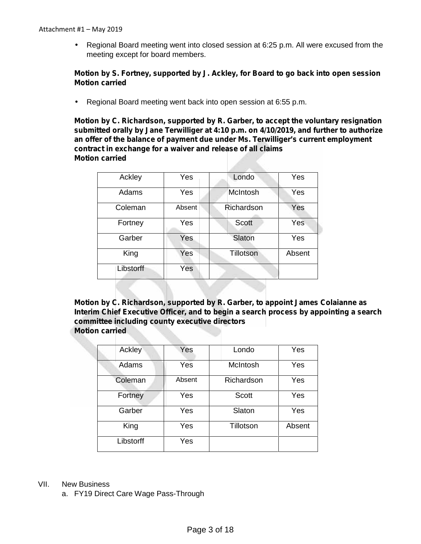Regional Board meeting went into closed session at 6:25 p.m. All were excused from the meeting except for board members.

### **Motion by S. Fortney, supported by J. Ackley, for Board to go back into open session Motion carried**

Regional Board meeting went back into open session at 6:55 p.m.

**Motion by C. Richardson, supported by R. Garber, to accept the voluntary resignation submitted orally by Jane Terwilliger at 4:10 p.m. on 4/10/2019, and further to authorize an offer of the balance of payment due under Ms. Terwilliger's current employment contract in exchange for a waiver and release of all claims Motion carried**

| Ackley    | Yes        | Londo            | Yes    |
|-----------|------------|------------------|--------|
| Adams     | Yes        | McIntosh         | Yes    |
| Coleman   | Absent     | Richardson       | Yes    |
| Fortney   | Yes        | <b>Scott</b>     | Yes    |
| Garber    | <b>Yes</b> | Slaton           | Yes    |
| King      | Yes        | <b>Tillotson</b> | Absent |
| Libstorff | Yes        |                  |        |

**Motion by C. Richardson, supported by R. Garber, to appoint James Colaianne as Interim Chief Executive Officer, and to begin a search process by appointing a search committee including county executive directors Motion carried**

| Ackley    | Yes    | Londo        | Yes    |
|-----------|--------|--------------|--------|
| Adams     | Yes    | McIntosh     | Yes    |
| Coleman   | Absent | Richardson   | Yes    |
| Fortney   | Yes    | <b>Scott</b> | Yes    |
| Garber    | Yes    | Slaton       | Yes    |
| King      | Yes    | Tillotson    | Absent |
| Libstorff | Yes    |              |        |

### VII. New Business

a. FY19 Direct Care Wage Pass-Through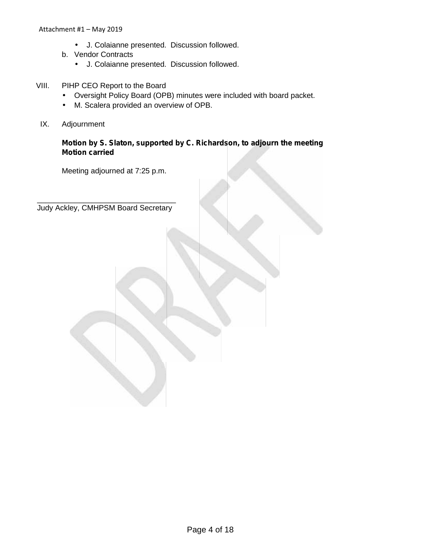- J. Colaianne presented. Discussion followed.
- b. Vendor Contracts
	- J. Colaianne presented. Discussion followed.
- VIII. PIHP CEO Report to the Board Oversight Policy Board (OPB) minutes were included with board packet. M. Scalera provided an overview of OPB.
- IX. Adjournment

# **Motion by S. Slaton, supported by C. Richardson, to adjourn the meeting Motion carried**

Meeting adjourned at 7:25 p.m.

 $\mathcal{L}=\mathcal{L}=\mathcal{L}=\mathcal{L}=\mathcal{L}=\mathcal{L}=\mathcal{L}=\mathcal{L}=\mathcal{L}=\mathcal{L}=\mathcal{L}=\mathcal{L}=\mathcal{L}=\mathcal{L}=\mathcal{L}=\mathcal{L}=\mathcal{L}=\mathcal{L}=\mathcal{L}=\mathcal{L}=\mathcal{L}=\mathcal{L}=\mathcal{L}=\mathcal{L}=\mathcal{L}=\mathcal{L}=\mathcal{L}=\mathcal{L}=\mathcal{L}=\mathcal{L}=\mathcal{L}=\mathcal{L}=\mathcal{L}=\mathcal{L}=\mathcal{L}=\mathcal{L}=\mathcal{$ Judy Ackley, CMHPSM Board Secretary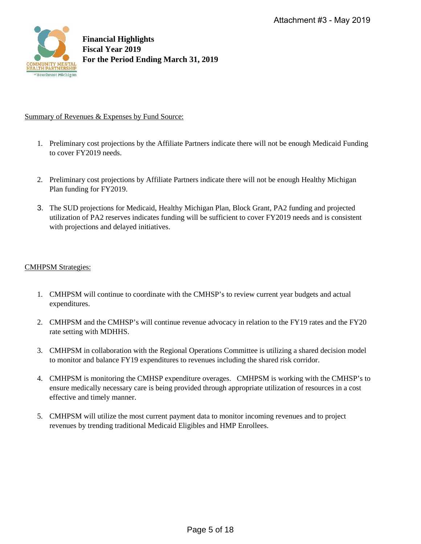

### Summary of Revenues & Expenses by Fund Source:

- 1. Preliminary cost projections by the Affiliate Partners indicate there will not be enough Medicaid Funding to cover FY2019 needs.
- 2. Preliminary cost projections by Affiliate Partners indicate there will not be enough Healthy Michigan Plan funding for FY2019.
- 3. The SUD projections for Medicaid, Healthy Michigan Plan, Block Grant, PA2 funding and projected utilization of PA2 reserves indicates funding will be sufficient to cover FY2019 needs and is consistent with projections and delayed initiatives.

### CMHPSM Strategies:

- 1. CMHPSM will continue to coordinate with the CMHSP's to review current year budgets and actual expenditures.
- 2. CMHPSM and the CMHSP's will continue revenue advocacy in relation to the FY19 rates and the FY20 rate setting with MDHHS.
- 3. CMHPSM in collaboration with the Regional Operations Committee is utilizing a shared decision model to monitor and balance FY19 expenditures to revenues including the shared risk corridor.
- 4. CMHPSM is monitoring the CMHSP expenditure overages. CMHPSM is working with the CMHSP's to ensure medically necessary care is being provided through appropriate utilization of resources in a cost effective and timely manner.
- 5. CMHPSM will utilize the most current payment data to monitor incoming revenues and to project revenues by trending traditional Medicaid Eligibles and HMP Enrollees.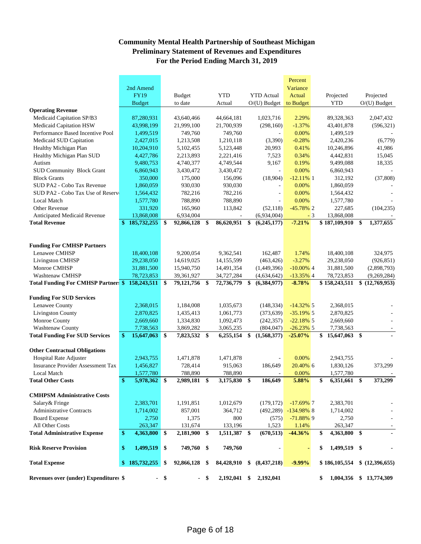# **Community Mental Health Partnership of Southeast Michigan Preliminary Statement of Revenues and Expenditures For the Period Ending March 31, 2019**

|                                                   |               |               |                     |               |              |                   | Percent                 |      |                    |                 |
|---------------------------------------------------|---------------|---------------|---------------------|---------------|--------------|-------------------|-------------------------|------|--------------------|-----------------|
|                                                   |               | 2nd Amend     |                     |               |              |                   | Variance                |      |                    |                 |
|                                                   |               | <b>FY19</b>   | <b>Budget</b>       |               | <b>YTD</b>   | <b>YTD</b> Actual | Actual                  |      | Projected          | Projected       |
|                                                   |               | <b>Budget</b> | to date             |               | Actual       | $O/(U)$ Budget    | to Budget               |      | <b>YTD</b>         | $O/(U)$ Budget  |
| <b>Operating Revenue</b>                          |               |               |                     |               |              |                   |                         |      |                    |                 |
| Medicaid Capitation SP/B3                         |               | 87,280,931    | 43,640,466          |               | 44,664,181   | 1,023,716         | 2.29%                   |      | 89,328,363         | 2,047,432       |
| Medicaid Capitation HSW                           |               | 43,998,199    | 21,999,100          |               | 21,700,939   | (298,160)         | $-1.37%$                |      | 43,401,878         | (596, 321)      |
| Performance Based Incentive Pool                  |               | 1,499,519     | 749,760             |               | 749,760      |                   | 0.00%                   |      | 1,499,519          |                 |
| Medicaid SUD Capitation                           |               | 2,427,015     | 1,213,508           |               | 1,210,118    | (3,390)           | $-0.28%$                |      | 2,420,236          | (6,779)         |
| Healthy Michigan Plan                             |               | 10,204,910    | 5,102,455           |               | 5,123,448    | 20,993            | 0.41%                   |      | 10,246,896         | 41,986          |
| Healthy Michigan Plan SUD                         |               | 4,427,786     | 2,213,893           |               | 2,221,416    | 7,523             | 0.34%                   |      | 4,442,831          | 15,045          |
| Autism                                            |               | 9,480,753     | 4,740,377           |               | 4,749,544    | 9,167             | 0.19%                   |      | 9,499,088          | 18,335          |
| <b>SUD Community Block Grant</b>                  |               | 6,860,943     | 3,430,472           |               | 3,430,472    |                   | 0.00%                   |      | 6,860,943          |                 |
| <b>Block Grants</b>                               |               | 350,000       | 175,000             |               | 156,096      | (18,904)          | $-12.11\%$ 1            |      | 312,192            | (37, 808)       |
| SUD PA2 - Cobo Tax Revenue                        |               | 1,860,059     | 930,030             |               | 930,030      |                   | 0.00%                   |      | 1,860,059          |                 |
| SUD PA2 - Cobo Tax Use of Reserv                  |               | 1,564,432     | 782,216             |               | 782,216      | ÷,                | 0.00%                   |      | 1,564,432          |                 |
| <b>Local Match</b>                                |               | 1,577,780     | 788,890             |               | 788,890      |                   | 0.00%                   |      | 1,577,780          |                 |
| <b>Other Revenue</b>                              |               | 331,920       | 165,960             |               | 113,842      | (52, 118)         | $-45.78\%$ 2            |      | 227,685            | (104, 235)      |
| Anticipated Medicaid Revenue                      |               | 13,868,008    | 6,934,004           |               |              | (6,934,004)       |                         | $-3$ | 13,868,008         |                 |
| <b>Total Revenue</b>                              | $\mathbf{\$}$ | 185,732,255   | \$<br>92,866,128    | \$            | 86,620,951   | \$<br>(6,245,177) | $-7.21%$                |      | \$187,109,910      | 1,377,655<br>\$ |
|                                                   |               |               |                     |               |              |                   |                         |      |                    |                 |
|                                                   |               |               |                     |               |              |                   |                         |      |                    |                 |
| <b>Funding For CMHSP Partners</b>                 |               |               |                     |               |              |                   |                         |      |                    |                 |
| Lenawee CMHSP                                     |               | 18,400,108    | 9,200,054           |               | 9,362,541    | 162,487           | 1.74%                   |      | 18,400,108         | 324,975         |
| <b>Livingston CMHSP</b>                           |               | 29,238,050    | 14,619,025          |               | 14,155,599   | (463, 426)        | $-3.27%$                |      | 29,238,050         | (926, 851)      |
| Monroe CMHSP                                      |               | 31,881,500    | 15,940,750          |               | 14,491,354   | (1,449,396)       | $-10.00\%$ 4            |      | 31,881,500         | (2,898,793)     |
| Washtenaw CMHSP                                   |               | 78,723,853    | 39,361,927          |               | 34,727,284   | (4,634,642)       | $-13.35\%$ 4            |      | 78,723,853         | (9,269,284)     |
| Total Funding For CMHSP Partner \$ 158,243,511 \$ |               |               | 79,121,756 \$       |               | 72,736,779   | \$<br>(6,384,977) | $-8.78%$                |      | \$158,243,511      | \$ (12,769,953) |
|                                                   |               |               |                     |               |              |                   |                         |      |                    |                 |
| <b>Funding For SUD Services</b>                   |               |               |                     |               |              |                   |                         |      |                    |                 |
| Lenawee County                                    |               | 2,368,015     | 1,184,008           |               | 1,035,673    | (148, 334)        | $-14.32\%$ 5            |      | 2,368,015          |                 |
| <b>Livingston County</b>                          |               | 2,870,825     | 1,435,413           |               | 1,061,773    | (373, 639)        | $-35.19\%$ 5            |      | 2,870,825          |                 |
| Monroe County                                     |               | 2,669,660     | 1,334,830           |               | 1,092,473    | (242, 357)        | $-22.18\%$ 5            |      | 2,669,660          |                 |
| Washtenaw County                                  |               | 7,738,563     | 3,869,282           |               | 3,065,235    | (804, 047)        | $-26.23\%$ 5            |      | 7,738,563          |                 |
| <b>Total Funding For SUD Services</b>             | \$            | 15,647,063    | \$<br>7,823,532 \$  |               | 6,255,154    | \$<br>(1,568,377) | $-25.07%$               |      | 15,647,063 \$      |                 |
|                                                   |               |               |                     |               |              |                   |                         |      |                    |                 |
| <b>Other Contractual Obligations</b>              |               |               |                     |               |              |                   |                         |      |                    |                 |
| Hospital Rate Adjuster                            |               | 2,943,755     | 1,471,878           |               | 1,471,878    |                   | 0.00%                   |      | 2,943,755          |                 |
| <b>Insurance Provider Assessment Tax</b>          |               | 1,456,827     | 728,414             |               | 915,063      | 186,649           | 20.40% 6                |      | 1,830,126          | 373,299         |
| <b>Local Match</b>                                |               | 1,577,780     | 788,890             |               | 788,890      |                   | 0.00%                   |      | 1,577,780          |                 |
| <b>Total Other Costs</b>                          | \$            | 5,978,362 \$  | 2,989,181           | \$            | 3,175,830    | \$<br>186,649     | 5.88%                   |      | \$<br>6,351,661 \$ | 373,299         |
|                                                   |               |               |                     |               |              |                   |                         |      |                    |                 |
| <b>CMHPSM Administrative Costs</b>                |               |               |                     |               |              |                   |                         |      |                    |                 |
| Salary & Fringe                                   |               | 2,383,701     | 1,191,851           |               | 1,012,679    | (179, 172)        | $-17.69\%$ 7            |      | 2,383,701          |                 |
| <b>Administrative Contracts</b>                   |               | 1,714,002     | 857,001             |               | 364,712      |                   | $(492, 289)$ -134.98% 8 |      | 1,714,002          |                 |
| <b>Board Expense</b>                              |               | 2,750         | 1,375               |               | 800          | (575)             | $-71.88\%$ 9            |      | 2,750              |                 |
| All Other Costs                                   |               | 263,347       | 131,674             |               | 133,196      | 1,523             | 1.14%                   |      | 263,347            |                 |
| <b>Total Administrative Expense</b>               | $\mathbf{\$}$ | 4,363,800     | \$<br>2,181,900     | $\mathbf{\$}$ | 1,511,387 \$ | (670, 513)        | $-44.36%$               |      | 4,363,800 \$<br>\$ |                 |
| <b>Risk Reserve Provision</b>                     | \$            | 1,499,519     | \$<br>749,760 \$    |               | 749,760      |                   | $\blacksquare$          |      | \$<br>1,499,519 \$ |                 |
|                                                   |               |               |                     |               |              |                   |                         |      |                    |                 |
| <b>Total Expense</b>                              |               | \$185,732,255 | \$<br>92,866,128 \$ |               | 84,428,910   | \$<br>(8,437,218) | $-9.99%$                |      | \$186,105,554      | \$ (12,396,655) |
|                                                   |               |               |                     |               |              |                   |                         |      |                    |                 |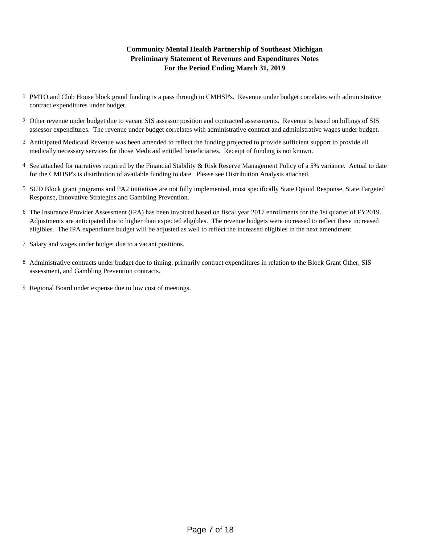# **For the Period Ending March 31, 2019 Community Mental Health Partnership of Southeast Michigan Preliminary Statement of Revenues and Expenditures Notes**

- 1 PMTO and Club House block grand funding is a pass through to CMHSP's. Revenue under budget correlates with administrative contract expenditures under budget.
- 2 Other revenue under budget due to vacant SIS assessor position and contracted assessments. Revenue is based on billings of SIS assessor expenditures. The revenue under budget correlates with administrative contract and administrative wages under budget.
- 3 Anticipated Medicaid Revenue was been amended to reflect the funding projected to provide sufficient support to provide all medically necessary services for those Medicaid entitled beneficiaries. Receipt of funding is not known.
- 4 See attached for narratives required by the Financial Stability & Risk Reserve Management Policy of a 5% variance. Actual to date for the CMHSP's is distribution of available funding to date. Please see Distribution Analysis attached.
- 5 SUD Block grant programs and PA2 initiatives are not fully implemented, most specifically State Opioid Response, State Targeted Response, Innovative Strategies and Gambling Prevention.
- 6 The Insurance Provider Assessment (IPA) has been invoiced based on fiscal year 2017 enrollments for the 1st quarter of FY2019. Adjustments are anticipated due to higher than expected eligibles. The revenue budgets were increased to reflect these increased eligibles. The IPA expenditure budget will be adjusted as well to reflect the increased eligibles in the next amendment
- 7 Salary and wages under budget due to a vacant positions.
- 8 Administrative contracts under budget due to timing, primarily contract expenditures in relation to the Block Grant Other, SIS assessment, and Gambling Prevention contracts.
- 9 Regional Board under expense due to low cost of meetings.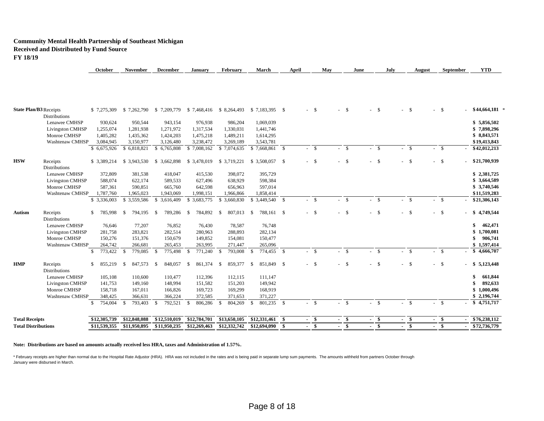#### **Community Mental Health Partnership of Southeast Michigan Received and Distributed by Fund Source FY 18/19**

|                               |                                  | October                  | November                 | December                  | <b>January</b>          | <b>February</b> | March                                              | April | May    |        | July<br>June   | August | September | <b>YTD</b>        |
|-------------------------------|----------------------------------|--------------------------|--------------------------|---------------------------|-------------------------|-----------------|----------------------------------------------------|-------|--------|--------|----------------|--------|-----------|-------------------|
|                               |                                  |                          |                          |                           |                         |                 |                                                    |       |        |        |                |        |           |                   |
| <b>State Plan/B3 Receipts</b> |                                  | \$7.275.309              | \$7,262,790              |                           |                         |                 | \$7,209,779 \$7,468,416 \$8,264,493 \$7,183,395 \$ |       | $-5$   | - \$   | - \$           | -\$    | $-$ \$    | $$44,664,181$ *   |
|                               | Distributions                    |                          |                          |                           |                         |                 |                                                    |       |        |        |                |        |           |                   |
|                               | Lenawee CMHSP                    | 930,624                  | 950,544                  | 943,154                   | 976,938                 | 986,204         | 1,069,039                                          |       |        |        |                |        |           | \$5,856,502       |
|                               | <b>Livingston CMHSP</b>          | 1,255,074                | 1,281,938                | 1,271,972                 | 1,317,534               | 1,330,031       | 1,441,746                                          |       |        |        |                |        |           | \$7,898,296       |
|                               | Monroe CMHSP                     | 1,405,282                | 1,435,362                | 1,424,203                 | 1,475,218               | 1,489,211       | 1,614,295                                          |       |        |        |                |        |           | \$8,843,571       |
|                               | Washtenaw CMHSP                  | 3,084,945                | 3,150,977                | 3,126,480                 | 3,238,472               | 3,269,189       | 3,543,781                                          |       |        |        |                |        |           | \$19,413,843      |
|                               |                                  | \$6,675,926              | \$6,818,821              | \$6,765,808               | \$7,008,162             | \$7,074,635     |                                                    |       | $-$ \$ | $- S$  | $-5$           | $-5$   | $-$ \$    | \$42,012,213      |
| HSW                           | Receipts<br><b>Distributions</b> | \$ 3,389,214             | \$3,943,530              | \$ 3,662,898 \$ 3,478,019 |                         | \$ 3,719,221    | \$3,508,057 \$                                     |       | $-$ \$ | $-5$   | $-$ \$         | $-$ \$ | $- S$     | \$21,700,939      |
|                               | Lenawee CMHSP                    | 372,809                  | 381,538                  | 418,047                   | 415,530                 | 398,072         | 395,729                                            |       |        |        |                |        |           | \$2,381,725       |
|                               | <b>Livingston CMHSP</b>          | 588,074                  | 622,174                  | 589,533                   | 627,496                 | 638,929         | 598,384                                            |       |        |        |                |        |           | \$3,664,589       |
|                               | Monroe CMHSP                     | 587,361                  | 590,851                  | 665,760                   | 642,598                 | 656,963         | 597,014                                            |       |        |        |                |        |           | \$3,740,546       |
|                               | Washtenaw CMHSP                  | 1,787,760                | 1,965,023                | 1,943,069                 | 1,998,151               | 1,966,866       | 1,858,414                                          |       |        |        |                |        |           | \$11,519,283      |
|                               |                                  | \$ 3,336,003             | \$3,559,586              | 3,616,409<br>\$           | \$3,683,775             | \$ 3,660,830    |                                                    |       | $-$ \$ | $- S$  | $-5$           | $-$ \$ | $-$ \$    | \$21,306,143      |
| Autism                        | Receipts<br><b>Distributions</b> | \$.<br>785,998           | 794,195<br><sup>\$</sup> | 789,286<br>- \$           | 784,892<br>$\mathbf{s}$ | 807,013<br>- \$ | 788,161 \$<br>- \$                                 |       | $-$ \$ | $-$ \$ | - \$           | $-$ \$ | $-$ \$    | 4,749,544<br>- \$ |
|                               | Lenawee CMHSP                    | 76,646                   | 77,207                   | 76,852                    | 76,430                  | 78,587          | 76,748                                             |       |        |        |                |        |           | 462,471<br>\$     |
|                               | <b>Livingston CMHSP</b>          | 281,758                  | 283,821                  | 282,514                   | 280,963                 | 288,893         | 282,134                                            |       |        |        |                |        |           | 1,700,081<br>\$   |
|                               | Monroe CMHSP                     | 150,276                  | 151,376                  | 150,679                   | 149,852                 | 154,081         | 150,477                                            |       |        |        |                |        |           | 906,741<br>\$     |
|                               | Washtenaw CMHSP                  | 264,742                  | 266,681                  | 265,453                   | 263,995                 | 271,447         | 265,096                                            |       |        |        |                |        |           | \$1,597,414       |
|                               |                                  | 773,422<br><sup>\$</sup> | 779,085<br>-S            | 775,498<br>- \$           | $\mathbf{s}$<br>771,240 | 793,008<br>-S   | 774,455 \$<br><sup>\$</sup>                        |       | $-$ \$ | $-$ \$ | - \$<br>$\sim$ | $-$ \$ | $-$ \$    | \$4,666,707       |
| HMP                           | Receipts                         | \$<br>855,219            | 847,573<br>-S            | 848,057 \$<br>- \$        | 861,374                 | 859,377<br>- \$ | 851,849 \$<br><sup>\$</sup>                        |       | $-$ \$ | $-$ \$ | - \$           | $-$ \$ | $-$ \$    | \$5,123,448       |
|                               | <b>Distributions</b>             |                          |                          |                           |                         |                 |                                                    |       |        |        |                |        |           | \$                |
|                               | Lenawee CMHSP                    | 105,108                  | 110,600                  | 110,477                   | 112,396                 | 112,115         | 111,147                                            |       |        |        |                |        |           | 661,844           |
|                               | <b>Livingston CMHSP</b>          | 141,753                  | 149,160                  | 148,994                   | 151,582                 | 151,203         | 149,942                                            |       |        |        |                |        |           | 892,633           |
|                               | Monroe CMHSP                     | 158,718                  | 167,011                  | 166,826                   | 169,723                 | 169,299         | 168,919                                            |       |        |        |                |        |           | 1,000,496<br>\$   |
|                               | Washtenaw CMHSP                  | 348,425                  | 366,631                  | 366,224                   | 372,585                 | 371,653         | 371,227                                            |       |        |        |                |        |           | \$2,196,744       |
|                               |                                  | $\mathbb{S}$<br>754,004  | 793,403 \$<br>-S         | 792,521 \$                | 806,286                 | 804,269<br>-S   | 801,235 \$<br>$\mathbb{S}$                         |       | $-$ \$ | $-5$   | $-5$           | $-$ \$ | $- S$     | $-$ \$ 4,751,717  |
| <b>Total Receipts</b>         |                                  | \$12,305,739             | \$12,848,088             | \$12,510,019              | \$12,784,701            | \$13,650,105    |                                                    |       | - \$   | - \$   | \$             | - \$   | $-$ \$    | \$76,238,112      |
| <b>Total Distributions</b>    |                                  | \$11,539,355             | \$11,950,895             | \$11,950,235              | \$12,269,463            | \$12,332,742    | \$12,694,090                                       | - \$  | \$     | \$     | \$             | \$     | -\$       | \$72,736,779      |
|                               |                                  |                          |                          |                           |                         |                 |                                                    |       |        |        |                |        |           |                   |

**Note: Distributions are based on amounts actually received less HRA, taxes and Administration of 1.57%.**

\* February receipts are higher than normal due to the Hospital Rate Adjustor (HRA). HRA was not included in the rates and is being paid in separate lump sum payments. The amounts withheld from partners October through January were disbursed in March.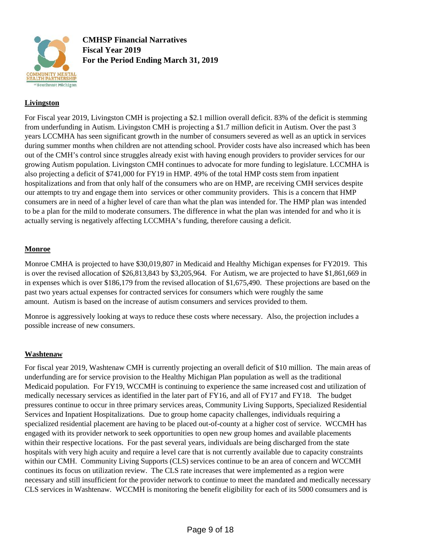

**CMHSP Financial Narratives Fiscal Year 2019 For the Period Ending March 31, 2019**

# **Livingston**

For Fiscal year 2019, Livingston CMH is projecting a \$2.1 million overall deficit. 83% of the deficit is stemming from underfunding in Autism. Livingston CMH is projecting a \$1.7 million deficit in Autism. Over the past 3 years LCCMHA has seen significant growth in the number of consumers severed as well as an uptick in services during summer months when children are not attending school. Provider costs have also increased which has been out of the CMH's control since struggles already exist with having enough providers to provider services for our growing Autism population. Livingston CMH continues to advocate for more funding to legislature. LCCMHA is also projecting a deficit of \$741,000 for FY19 in HMP. 49% of the total HMP costs stem from inpatient hospitalizations and from that only half of the consumers who are on HMP, are receiving CMH services despite our attempts to try and engage them into services or other community providers. This is a concern that HMP consumers are in need of a higher level of care than what the plan was intended for. The HMP plan was intended to be a plan for the mild to moderate consumers. The difference in what the plan was intended for and who it is actually serving is negatively affecting LCCMHA's funding, therefore causing a deficit.

# **Monroe**

Monroe CMHA is projected to have \$30,019,807 in Medicaid and Healthy Michigan expenses for FY2019. This is over the revised allocation of \$26,813,843 by \$3,205,964. For Autism, we are projected to have \$1,861,669 in in expenses which is over \$186,179 from the revised allocation of \$1,675,490. These projections are based on the past two years actual expenses for contracted services for consumers which were roughly the same amount. Autism is based on the increase of autism consumers and services provided to them.

Monroe is aggressively looking at ways to reduce these costs where necessary. Also, the projection includes a possible increase of new consumers.

### **Washtenaw**

For fiscal year 2019, Washtenaw CMH is currently projecting an overall deficit of \$10 million. The main areas of underfunding are for service provision to the Healthy Michigan Plan population as well as the traditional Medicaid population. For FY19, WCCMH is continuing to experience the same increased cost and utilization of medically necessary services as identified in the later part of FY16, and all of FY17 and FY18. The budget pressures continue to occur in three primary services areas, Community Living Supports, Specialized Residential Services and Inpatient Hospitalizations. Due to group home capacity challenges, individuals requiring a specialized residential placement are having to be placed out-of-county at a higher cost of service. WCCMH has engaged with its provider network to seek opportunities to open new group homes and available placements within their respective locations. For the past several years, individuals are being discharged from the state hospitals with very high acuity and require a level care that is not currently available due to capacity constraints within our CMH. Community Living Supports (CLS) services continue to be an area of concern and WCCMH continues its focus on utilization review. The CLS rate increases that were implemented as a region were necessary and still insufficient for the provider network to continue to meet the mandated and medically necessary CLS services in Washtenaw. WCCMH is monitoring the benefit eligibility for each of its 5000 consumers and is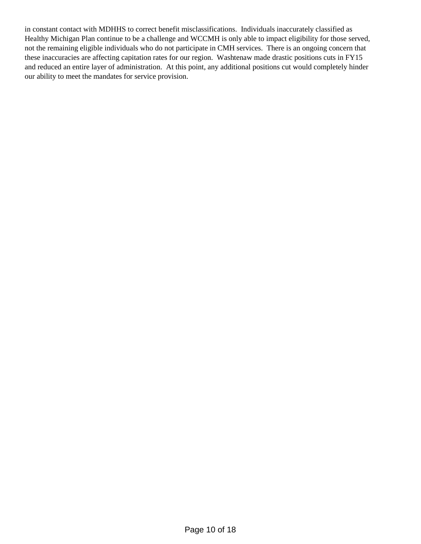in constant contact with MDHHS to correct benefit misclassifications. Individuals inaccurately classified as Healthy Michigan Plan continue to be a challenge and WCCMH is only able to impact eligibility for those served, not the remaining eligible individuals who do not participate in CMH services. There is an ongoing concern that these inaccuracies are affecting capitation rates for our region. Washtenaw made drastic positions cuts in FY15 and reduced an entire layer of administration. At this point, any additional positions cut would completely hinder our ability to meet the mandates for service provision.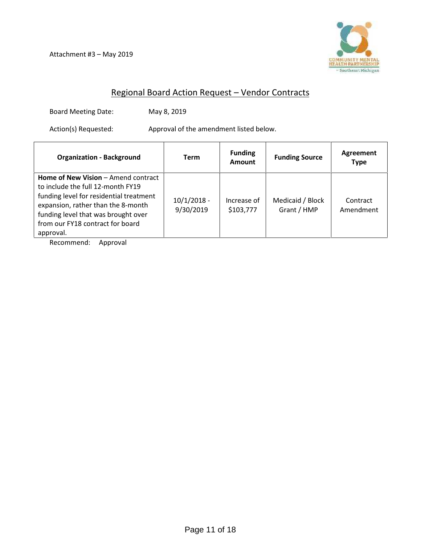Attachment #3 – May 2019



# Regional Board Action Request – Vendor Contracts

Board Meeting Date: May 8, 2019

Action(s) Requested: Approval of the amendment listed below.

| <b>Organization - Background</b>                                                                                                                                                                                                                  | <b>Term</b>                | <b>Funding</b><br><b>Amount</b> | <b>Funding Source</b>           | Agreement<br><b>Type</b> |
|---------------------------------------------------------------------------------------------------------------------------------------------------------------------------------------------------------------------------------------------------|----------------------------|---------------------------------|---------------------------------|--------------------------|
| Home of New Vision - Amend contract<br>to include the full 12-month FY19<br>funding level for residential treatment<br>expansion, rather than the 8-month<br>funding level that was brought over<br>from our FY18 contract for board<br>approval. | $10/1/2018 -$<br>9/30/2019 | Increase of<br>\$103,777        | Medicaid / Block<br>Grant / HMP | Contract<br>Amendment    |

Recommend: Approval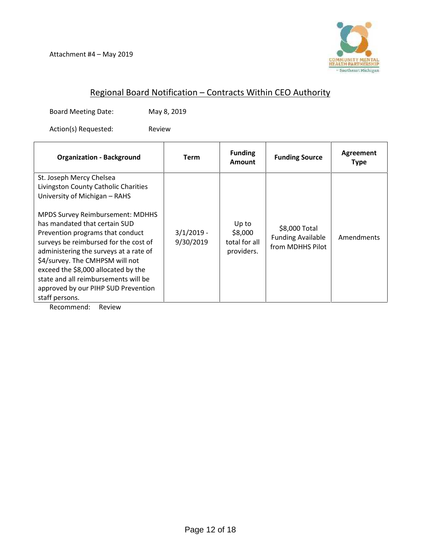

# Regional Board Notification – Contracts Within CEO Authority

Board Meeting Date: May 8, 2019

Action(s) Requested: Review

| <b>Organization - Background</b>                                                                                                                                                                                                                                                                                                                                                                                                                                                | <b>Term</b>               | <b>Funding</b><br>Amount                        | <b>Funding Source</b>                                         | Agreement<br><b>Type</b> |
|---------------------------------------------------------------------------------------------------------------------------------------------------------------------------------------------------------------------------------------------------------------------------------------------------------------------------------------------------------------------------------------------------------------------------------------------------------------------------------|---------------------------|-------------------------------------------------|---------------------------------------------------------------|--------------------------|
| St. Joseph Mercy Chelsea<br>Livingston County Catholic Charities<br>University of Michigan - RAHS<br><b>MPDS Survey Reimbursement: MDHHS</b><br>has mandated that certain SUD<br>Prevention programs that conduct<br>surveys be reimbursed for the cost of<br>administering the surveys at a rate of<br>\$4/survey. The CMHPSM will not<br>exceed the \$8,000 allocated by the<br>state and all reimbursements will be<br>approved by our PIHP SUD Prevention<br>staff persons. | $3/1/2019 -$<br>9/30/2019 | Up to<br>\$8,000<br>total for all<br>providers. | \$8,000 Total<br><b>Funding Available</b><br>from MDHHS Pilot | Amendments               |

Recommend: Review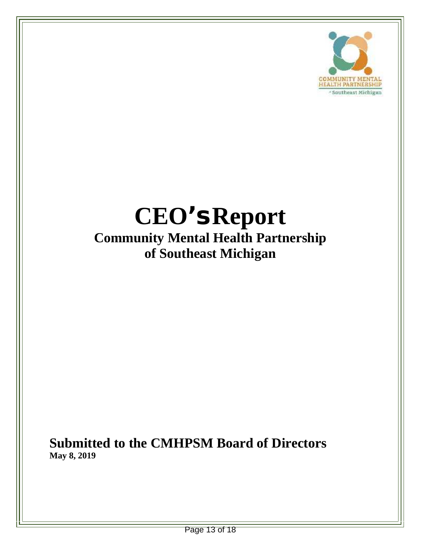

# **CEO's Report Community Mental Health Partnership of Southeast Michigan**

**Submitted to the CMHPSM Board of Directors May 8, 2019**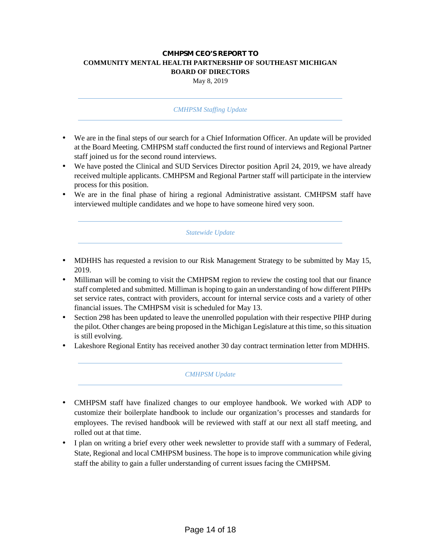# **CMHPSM CEO'S REPORT TO COMMUNITY MENTAL HEALTH PARTNERSHIP OF SOUTHEAST MICHIGAN BOARD OF DIRECTORS**

May 8, 2019

### *CMHPSM Staffing Update*

- We are in the final steps of our search for a Chief Information Officer. An update will be provided at the Board Meeting. CMHPSM staff conducted the first round of interviews and Regional Partner staff joined us for the second round interviews.
- We have posted the Clinical and SUD Services Director position April 24, 2019, we have already received multiple applicants. CMHPSM and Regional Partner staff will participate in the interview process for this position.
- We are in the final phase of hiring a regional Administrative assistant. CMHPSM staff have interviewed multiple candidates and we hope to have someone hired very soon.

*Statewide Update*

- MDHHS has requested a revision to our Risk Management Strategy to be submitted by May 15, 2019.
- Milliman will be coming to visit the CMHPSM region to review the costing tool that our finance staff completed and submitted. Milliman is hoping to gain an understanding of how different PIHPs set service rates, contract with providers, account for internal service costs and a variety of other financial issues. The CMHPSM visit is scheduled for May 13.
- Section 298 has been updated to leave the unenrolled population with their respective PIHP during the pilot. Other changes are being proposed in the Michigan Legislature at this time, so this situation is still evolving.
- Lakeshore Regional Entity has received another 30 day contract termination letter from MDHHS.

### *CMHPSM Update*

- CMHPSM staff have finalized changes to our employee handbook. We worked with ADP to customize their boilerplate handbook to include our organization's processes and standards for employees. The revised handbook will be reviewed with staff at our next all staff meeting, and rolled out at that time.
- I plan on writing a brief every other week newsletter to provide staff with a summary of Federal, State, Regional and local CMHPSM business. The hope is to improve communication while giving staff the ability to gain a fuller understanding of current issues facing the CMHPSM.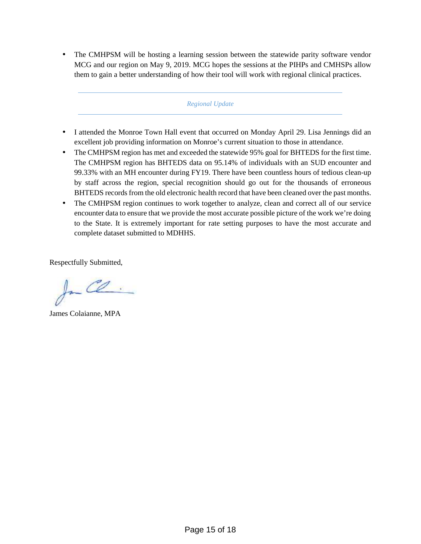The CMHPSM will be hosting a learning session between the statewide parity software vendor MCG and our region on May 9, 2019. MCG hopes the sessions at the PIHPs and CMHSPs allow them to gain a better understanding of how their tool will work with regional clinical practices.

### *Regional Update*

- I attended the Monroe Town Hall event that occurred on Monday April 29. Lisa Jennings did an excellent job providing information on Monroe's current situation to those in attendance.
- The CMHPSM region has met and exceeded the statewide 95% goal for BHTEDS for the first time. The CMHPSM region has BHTEDS data on 95.14% of individuals with an SUD encounter and 99.33% with an MH encounter during FY19. There have been countless hours of tedious clean-up by staff across the region, special recognition should go out for the thousands of erroneous BHTEDS records from the old electronic health record that have been cleaned over the past months.
- The CMHPSM region continues to work together to analyze, clean and correct all of our service encounter data to ensure that we provide the most accurate possible picture of the work we're doing to the State. It is extremely important for rate setting purposes to have the most accurate and complete dataset submitted to MDHHS.

Respectfully Submitted,

a CO.

James Colaianne, MPA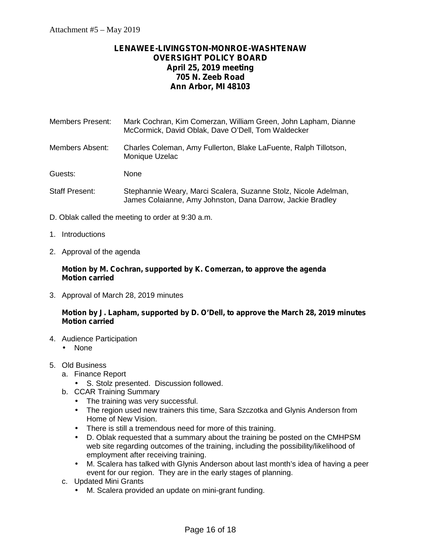# **LENAWEE-LIVINGSTON-MONROE-WASHTENAW OVERSIGHT POLICY BOARD April 25, 2019 meeting 705 N. Zeeb Road Ann Arbor, MI 48103**

Members Present: Mark Cochran, Kim Comerzan, William Green, John Lapham, Dianne McCormick, David Oblak, Dave O'Dell, Tom Waldecker

Members Absent: Charles Coleman, Amy Fullerton, Blake LaFuente, Ralph Tillotson, Monique Uzelac

Guests: None

- Staff Present: Stephannie Weary, Marci Scalera, Suzanne Stolz, Nicole Adelman, James Colaianne, Amy Johnston, Dana Darrow, Jackie Bradley
- D. Oblak called the meeting to order at 9:30 a.m.
- 1. Introductions
- 2. Approval of the agenda

# **Motion by M. Cochran, supported by K. Comerzan, to approve the agenda Motion carried**

3. Approval of March 28, 2019 minutes

# **Motion by J. Lapham, supported by D. O'Dell, to approve the March 28, 2019 minutes Motion carried**

- 4. Audience Participation
	- None
- 5. Old Business
	- a. Finance Report
		- S. Stolz presented. Discussion followed.
	- b. CCAR Training Summary
		- The training was very successful.
		- $\hat{I}$  The region used new trainers this time, Sara Szczotka and Glynis Anderson from Home of New Vision.
		- There is still a tremendous need for more of this training.
		- D. Oblak requested that a summary about the training be posted on the CMHPSM web site regarding outcomes of the training, including the possibility/likelihood of employment after receiving training.
		- M. Scalera has talked with Glynis Anderson about last month's idea of having a peer event for our region. They are in the early stages of planning.
	- c. Updated Mini Grants
		- M. Scalera provided an update on mini-grant funding.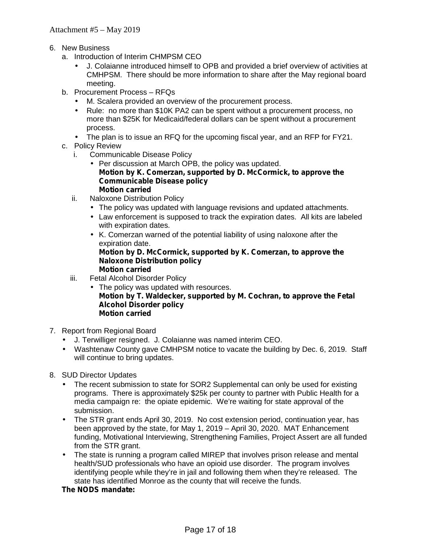- 6. New Business
	- a. Introduction of Interim CHMPSM CEO
		- J. Colaianne introduced himself to OPB and provided a brief overview of activities at CMHPSM. There should be more information to share after the May regional board meeting.
	- b. Procurement Process RFQs
		- M. Scalera provided an overview of the procurement process.
		- Rule: no more than \$10K PA2 can be spent without a procurement process, no more than \$25K for Medicaid/federal dollars can be spent without a procurement process.
		- The plan is to issue an RFQ for the upcoming fiscal year, and an RFP for FY21.
	- c. Policy Review
		- i. Communicable Disease Policy
			- $\int$  Per discussion at March OPB, the policy was updated. **Motion by K. Comerzan, supported by D. McCormick, to approve the Communicable Disease policy Motion carried**
		- ii. Naloxone Distribution Policy
			- The policy was updated with language revisions and updated attachments.
			- Law enforcement is supposed to track the expiration dates. All kits are labeled with expiration dates.
			- K. Comerzan warned of the potential liability of using naloxone after the expiration date. **Motion by D. McCormick, supported by K. Comerzan, to approve the**

#### **Naloxone Distribution policy Motion carried**

- iii. Fetal Alcohol Disorder Policy
	- The policy was updated with resources. **Motion by T. Waldecker, supported by M. Cochran, to approve the Fetal Alcohol Disorder policy Motion carried**
- 7. Report from Regional Board
	- J. Terwilliger resigned. J. Colaianne was named interim CEO.
	- Washtenaw County gave CMHPSM notice to vacate the building by Dec. 6, 2019. Staff will continue to bring updates.
- 8. SUD Director Updates
	- The recent submission to state for SOR2 Supplemental can only be used for existing programs. There is approximately \$25k per county to partner with Public Health for a media campaign re: the opiate epidemic. We're waiting for state approval of the submission.
	- The STR grant ends April 30, 2019. No cost extension period, continuation year, has been approved by the state, for May 1, 2019 – April 30, 2020. MAT Enhancement funding, Motivational Interviewing, Strengthening Families, Project Assert are all funded from the STR grant.
	- The state is running a program called MIREP that involves prison release and mental health/SUD professionals who have an opioid use disorder. The program involves identifying people while they're in jail and following them when they're released. The state has identified Monroe as the county that will receive the funds.

### **The NODS mandate:**